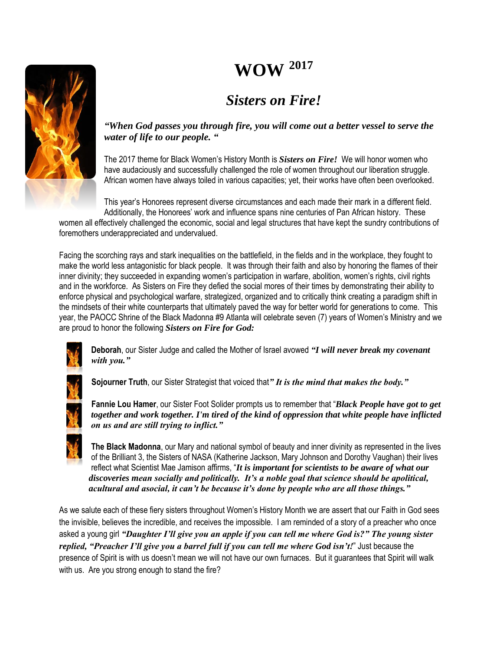# **WOW <sup>2017</sup>**

# *Sisters on Fire!*



*"When God passes you through fire, you will come out a better vessel to serve the water of life to our people. "*

The 2017 theme for Black Women's History Month is *Sisters on Fire!* We will honor women who have audaciously and successfully challenged the role of women throughout our liberation struggle. African women have always toiled in various capacities; yet, their works have often been overlooked.

This year's Honorees represent diverse circumstances and each made their mark in a different field. Additionally, the Honorees' work and influence spans nine centuries of Pan African history. These

women all effectively challenged the economic, social and legal structures that have kept the sundry contributions of foremothers underappreciated and undervalued.

Facing the scorching rays and stark inequalities on the battlefield, in the fields and in the workplace, they fought to make the world less antagonistic for black people. It was through their faith and also by honoring the flames of their inner divinity; they succeeded in expanding women's participation in warfare, abolition, women's rights, civil rights and in the workforce. As Sisters on Fire they defied the social mores of their times by demonstrating their ability to enforce physical and psychological warfare, strategized, organized and to critically think creating a paradigm shift in the mindsets of their white counterparts that ultimately paved the way for better world for generations to come. This year, the PAOCC Shrine of the Black Madonna #9 Atlanta will celebrate seven (7) years of Women's Ministry and we are proud to honor the following *Sisters on Fire for God:*



**Deborah**, our Sister Judge and called the Mother of Israel avowed *"I will never break my covenant with you."*



**Sojourner Truth**, our Sister Strategist that voiced that*" It is the mind that makes the body."*

**Fannie Lou Hamer**, our Sister Foot Solider prompts us to remember that "*Black People have got to get together and work together. I'm tired of the kind of oppression that white people have inflicted on us and are still trying to inflict."*

**The Black Madonna**, our Mary and national symbol of beauty and inner divinity as represented in the lives of the Brilliant 3, the Sisters of NASA (Katherine Jackson, Mary Johnson and Dorothy Vaughan) their lives reflect what Scientist Mae Jamison affirms, "*It is important for scientists to be aware of what our discoveries mean socially and politically. It's a noble goal that science should be apolitical, acultural and asocial, it can't be because it's done by people who are all those things."*

As we salute each of these fiery sisters throughout Women's History Month we are assert that our Faith in God sees the invisible, believes the incredible, and receives the impossible. I am reminded of a story of a preacher who once asked a young girl *"Daughter I'll give you an apple if you can tell me where God is?" The young sister replied, "Preacher I'll give you a barrel full if you can tell me where God isn't!*" Just because the presence of Spirit is with us doesn't mean we will not have our own furnaces. But it guarantees that Spirit will walk with us. Are you strong enough to stand the fire?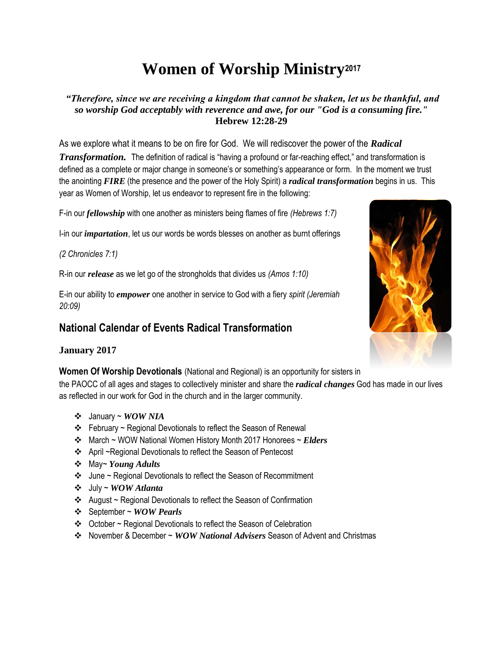# **Women of Worship Ministry<sup>2017</sup>**

*"Therefore, since we are receiving a kingdom that cannot be shaken, let us be thankful, and so worship God acceptably with reverence and awe, for our "God is a consuming fire."* **Hebrew 12:28-29**

As we explore what it means to be on fire for God. We will rediscover the power of the *Radical Transformation.* The definition of radical is "having a profound or far-reaching effect," and transformation is defined as a complete or major change in someone's or something's appearance or form. In the moment we trust the anointing *FIRE* (the presence and the power of the Holy Spirit) a *radical transformation* begins in us. This year as Women of Worship, let us endeavor to represent fire in the following:

F-in our *fellowship* with one another as ministers being flames of fire *(Hebrews 1:7)* 

I-in our *impartation*, let us our words be words blesses on another as burnt offerings

*(2 Chronicles 7:1)*

R-in our *release* as we let go of the strongholds that divides us *(Amos 1:10)*

E-in our ability to *empower* one another in service to God with a fiery *spirit (Jeremiah 20:09)*

## **National Calendar of Events Radical Transformation**

#### **January 2017**

**Women Of Worship Devotionals** (National and Regional) is an opportunity for sisters in

the PAOCC of all ages and stages to collectively minister and share the *radical changes* God has made in our lives as reflected in our work for God in the church and in the larger community.

- January ~ *WOW NIA*
- $\div$  February ~ Regional Devotionals to reflect the Season of Renewal
- March ~ WOW National Women History Month 2017 Honorees ~ *Elders*
- April ~Regional Devotionals to reflect the Season of Pentecost
- May~ *Young Adults*
- June ~ Regional Devotionals to reflect the Season of Recommitment
- July ~ *WOW Atlanta*
- $\triangleleft$  August ~ Regional Devotionals to reflect the Season of Confirmation
- September ~ *WOW Pearls*
- October ~ Regional Devotionals to reflect the Season of Celebration
- November & December ~ *WOW National Advisers* Season of Advent and Christmas

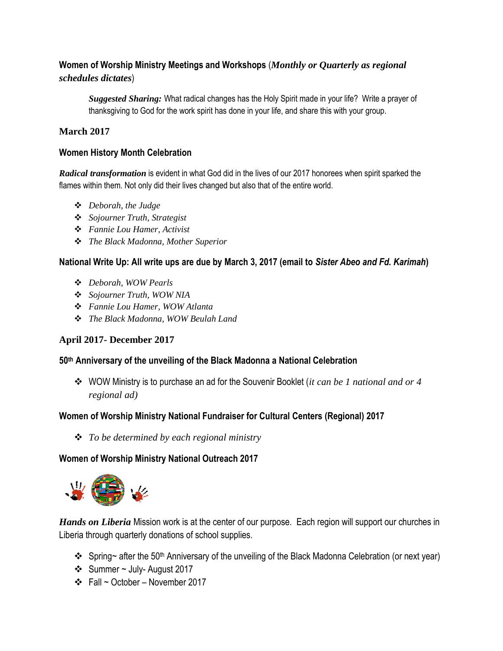### **Women of Worship Ministry Meetings and Workshops** (*Monthly or Quarterly as regional schedules dictates*)

*Suggested Sharing:* What radical changes has the Holy Spirit made in your life? Write a prayer of thanksgiving to God for the work spirit has done in your life, and share this with your group.

#### **March 2017**

#### **Women History Month Celebration**

*Radical transformation* is evident in what God did in the lives of our 2017 honorees when spirit sparked the flames within them. Not only did their lives changed but also that of the entire world.

- *Deborah, the Judge*
- *Sojourner Truth, Strategist*
- *Fannie Lou Hamer, Activist*
- *The Black Madonna, Mother Superior*

#### **National Write Up: All write ups are due by March 3, 2017 (email to** *Sister Abeo and Fd. Karimah***)**

- *Deborah, WOW Pearls*
- *Sojourner Truth, WOW NIA*
- *Fannie Lou Hamer, WOW Atlanta*
- *The Black Madonna, WOW Beulah Land*

#### **April 2017- December 2017**

#### **50th Anniversary of the unveiling of the Black Madonna a National Celebration**

 WOW Ministry is to purchase an ad for the Souvenir Booklet (*it can be 1 national and or 4 regional ad)*

#### **Women of Worship Ministry National Fundraiser for Cultural Centers (Regional) 2017**

*To be determined by each regional ministry* 

#### **Women of Worship Ministry National Outreach 2017**



*Hands on Liberia* Mission work is at the center of our purpose. Each region will support our churches in Liberia through quarterly donations of school supplies.

- $\cdot$  Spring~ after the 50<sup>th</sup> Anniversary of the unveiling of the Black Madonna Celebration (or next year)
- Summer ~ July- August 2017
- $\div$  Fall ~ October November 2017